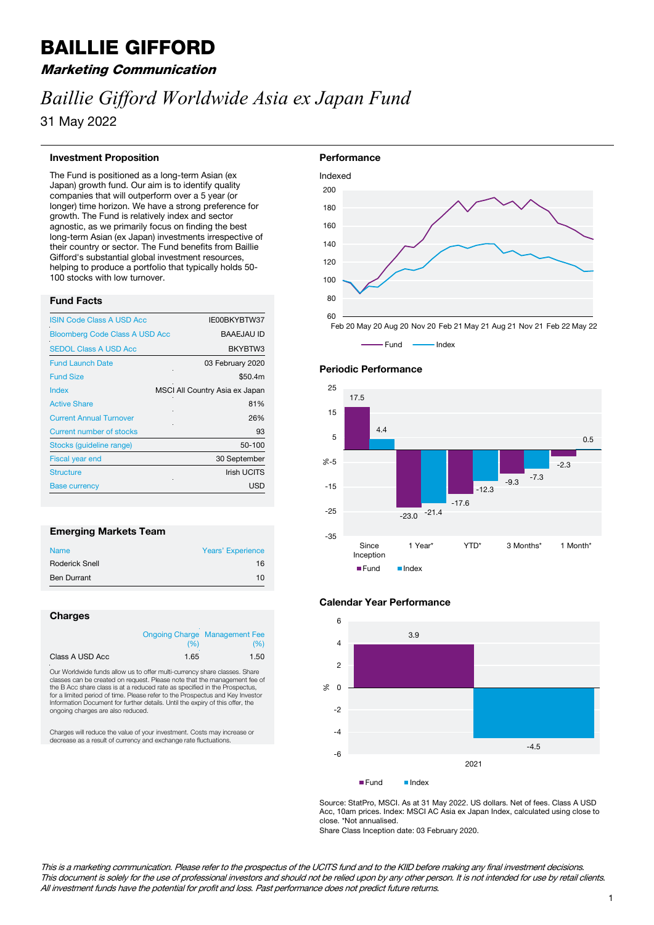## BAILLIE GIFFORD

## Marketing Communication

# *Baillie Gifford Worldwide Asia ex Japan Fund*

31 May 2022

#### **Investment Proposition**

The Fund is positioned as a long-term Asian (ex Japan) growth fund. Our aim is to identify quality companies that will outperform over a 5 year (or longer) time horizon. We have a strong preference for growth. The Fund is relatively index and sector agnostic, as we primarily focus on finding the best long-term Asian (ex Japan) investments irrespective of their country or sector. The Fund benefits from Baillie Gifford's substantial global investment resources, helping to produce a portfolio that typically holds 50- 100 stocks with low turnover.

### **Fund Facts**

| <b>ISIN Code Class A USD Acc</b>      | IE00BKYBTW37                   |
|---------------------------------------|--------------------------------|
| <b>Bloomberg Code Class A USD Acc</b> | <b>BAAEJAU ID</b>              |
| <b>SEDOL Class A USD Acc</b>          | BKYBTW3                        |
| <b>Fund Launch Date</b>               | 03 February 2020               |
| <b>Fund Size</b>                      | \$50.4m                        |
| Index                                 | MSCI All Country Asia ex Japan |
| <b>Active Share</b>                   | 81%                            |
| <b>Current Annual Turnover</b>        | 26%                            |
| Current number of stocks              | 93                             |
| Stocks (quideline range)              | 50-100                         |
| <b>Fiscal year end</b>                | 30 September                   |
| <b>Structure</b>                      | <b>Irish UCITS</b>             |
| <b>Base currency</b>                  | <b>USD</b>                     |

## **Emerging Markets Team**

| <b>Name</b>           | <b>Years' Experience</b> |
|-----------------------|--------------------------|
| <b>Roderick Snell</b> | 16                       |
| <b>Ben Durrant</b>    | 10                       |

#### **Charges**

|                 |      | <b>Ongoing Charge Management Fee</b> |  |
|-----------------|------|--------------------------------------|--|
|                 | (96) | (%)                                  |  |
| Class A USD Acc | 1.65 | 1.50                                 |  |

Our Worldwide funds allow us to offer multi-currency share classes. Share es can be created on request. Please note that the management fee of the B Acc share class is at a reduced rate as specified in the Prospectus, for a limited period of time. Please refer to the Prospectus and Key Investor Information Document for further details. Until the expiry of this offer, the ongoing charges are also reduced.

Charges will reduce the value of your investment. Costs may increase or decrease as a result of currency and exchange rate fluctuations.



Feb 20 May 20 Aug 20 Nov 20 Feb 21 May 21 Aug 21 Nov 21 Feb 22 May 22







Source: StatPro, MSCI. As at 31 May 2022. US dollars. Net of fees. Class A USD Acc, 10am prices. Index: MSCI AC Asia ex Japan Index, calculated using close to close. \*Not annualised.

Share Class Inception date: 03 February 2020.

This is a marketing communication. Please refer to the prospectus of the UCITS fund and to the KIID before making any final investment decisions. This document is solely for the use of professional investors and should not be relied upon by any other person. It is not intended for use by retail clients. All investment funds have the potential for profit and loss. Past performance does not predict future returns.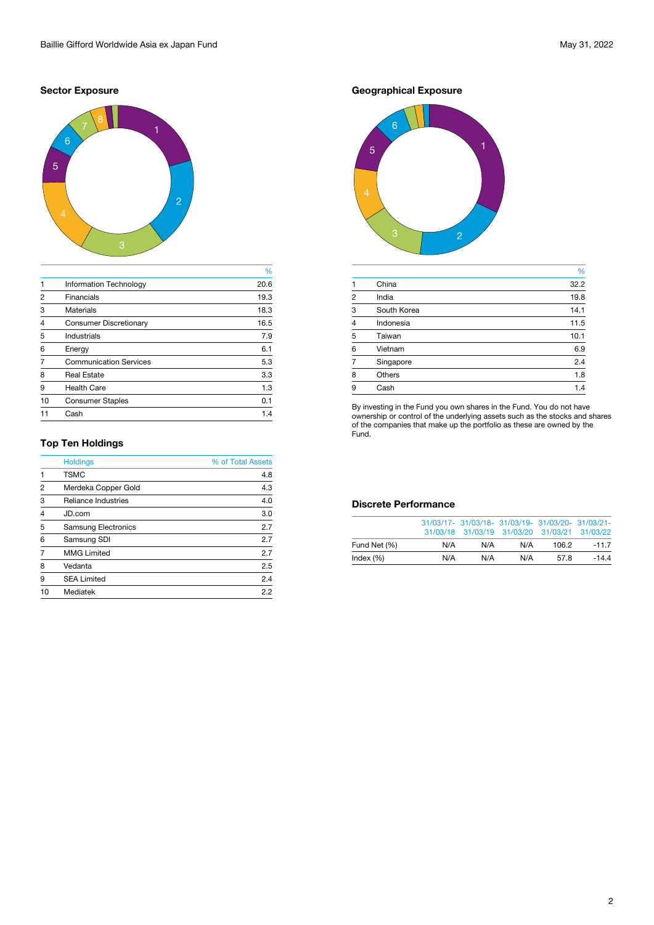## **Sector Exposure**



|                |                               | %    |
|----------------|-------------------------------|------|
| $\mathbf{1}$   | <b>Information Technology</b> | 20.6 |
| $\overline{2}$ | <b>Financials</b>             | 19.3 |
| 3              | <b>Materials</b>              | 18.3 |
| $\overline{4}$ | <b>Consumer Discretionary</b> | 16.5 |
| 5              | <b>Industrials</b>            | 7.9  |
| 6              | Energy                        | 6.1  |
| 7              | <b>Communication Services</b> | 5.3  |
| 8              | <b>Real Estate</b>            | 3.3  |
| 9              | <b>Health Care</b>            | 1.3  |
| 10             | <b>Consumer Staples</b>       | 0.1  |
|                | Cash                          | 1.4  |
|                |                               |      |

## **Top Ten Holdings**

|                | <b>Holdings</b>            | % of Total Assets |
|----------------|----------------------------|-------------------|
| $\mathbf{1}$   | <b>TSMC</b>                | 4.8               |
| $\overline{2}$ | Merdeka Copper Gold        | 4.3               |
| 3              | <b>Reliance Industries</b> | 4.0               |
| $\overline{4}$ | JD.com                     | 3.0               |
| 5              | <b>Samsung Electronics</b> | 2.7               |
| 6              | <b>Samsung SDI</b>         | 2.7               |
| $\overline{7}$ | <b>MMG Limited</b>         | 2.7               |
| 8              | Vedanta                    | 2.5               |
| 9              | <b>SEA Limited</b>         | 2.4               |
| 10             | <b>Mediatek</b>            | 2.2               |
|                |                            |                   |

## **Geographical Exposure**



|                |               | %    |
|----------------|---------------|------|
| 1              | China         | 32.2 |
| $\overline{2}$ | India         | 19.8 |
| 3              | South Korea   | 14.1 |
| $\overline{4}$ | Indonesia     | 11.5 |
| 5              | Taiwan        | 10.1 |
| 6              | Vietnam       | 6.9  |
|                | Singapore     | 2.4  |
| 8              | <b>Others</b> | 1.8  |
| 9              | Cash          | 1.4  |

By investing in the Fund you own shares in the Fund. You do not have ownership or control of the underlying assets such as the stocks and shares of the companies that make up the portfolio as these are owned by the Fund.

## **Discrete Performance**

|              |     | 31/03/17- 31/03/18- 31/03/19- 31/03/20- 31/03/21-<br>31/03/18 31/03/19 31/03/20 31/03/21 31/03/22 |     |       |         |
|--------------|-----|---------------------------------------------------------------------------------------------------|-----|-------|---------|
| Fund Net (%) | N/A | N/A                                                                                               | N/A | 106.2 | $-11.7$ |
| Index $(\%)$ | N/A | N/A                                                                                               | N/A | 57.8  | $-14.4$ |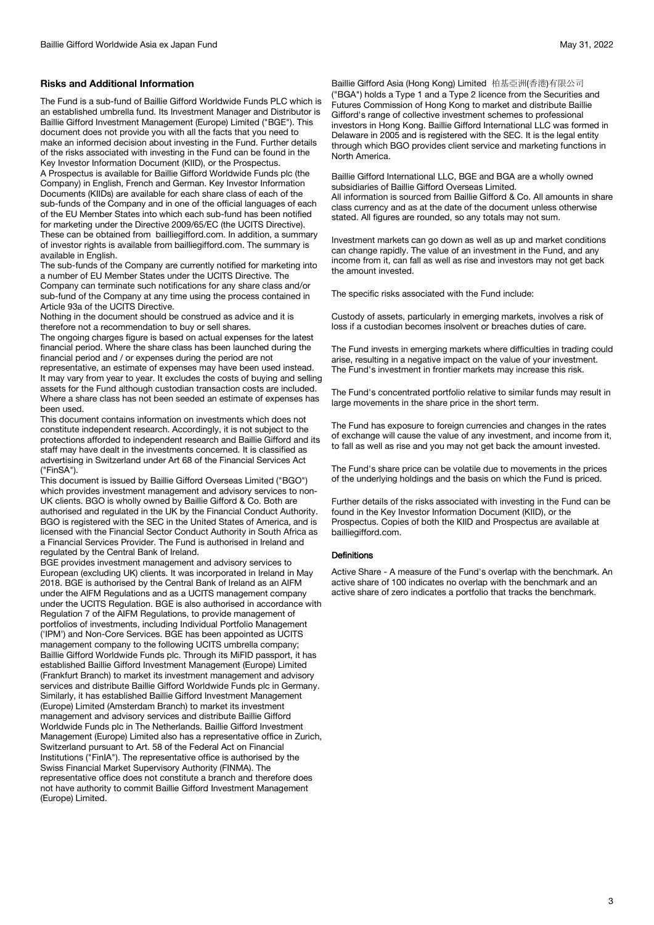The Fund is a sub-fund of Baillie Gifford Worldwide Funds PLC which is an established umbrella fund. Its Investment Manager and Distributor is Baillie Gifford Investment Management (Europe) Limited ("BGE"). This document does not provide you with all the facts that you need to make an informed decision about investing in the Fund. Further details of the risks associated with investing in the Fund can be found in the Key Investor Information Document (KIID), or the Prospectus. A Prospectus is available for Baillie Gifford Worldwide Funds plc (the Company) in English, French and German. Key Investor Information Documents (KIIDs) are available for each share class of each of the sub-funds of the Company and in one of the official languages of each of the EU Member States into which each sub-fund has been notified for marketing under the Directive 2009/65/EC (the UCITS Directive). These can be obtained from bailliegifford.com. In addition, a summary of investor rights is available from bailliegifford.com. The summary is available in English.

The sub-funds of the Company are currently notified for marketing into a number of EU Member States under the UCITS Directive. The Company can terminate such notifications for any share class and/or sub-fund of the Company at any time using the process contained in Article 93a of the UCITS Directive.

Nothing in the document should be construed as advice and it is therefore not a recommendation to buy or sell shares.

The ongoing charges figure is based on actual expenses for the latest financial period. Where the share class has been launched during the financial period and / or expenses during the period are not representative, an estimate of expenses may have been used instead. It may vary from year to year. It excludes the costs of buying and selling assets for the Fund although custodian transaction costs are included. Where a share class has not been seeded an estimate of expenses has been used.

This document contains information on investments which does not constitute independent research. Accordingly, it is not subject to the protections afforded to independent research and Baillie Gifford and its staff may have dealt in the investments concerned. It is classified as advertising in Switzerland under Art 68 of the Financial Services Act ("FinSA").

This document is issued by Baillie Gifford Overseas Limited ("BGO") which provides investment management and advisory services to non-UK clients. BGO is wholly owned by Baillie Gifford & Co. Both are authorised and regulated in the UK by the Financial Conduct Authority. BGO is registered with the SEC in the United States of America, and is licensed with the Financial Sector Conduct Authority in South Africa as a Financial Services Provider. The Fund is authorised in Ireland and regulated by the Central Bank of Ireland.

BGE provides investment management and advisory services to European (excluding UK) clients. It was incorporated in Ireland in May 2018. BGE is authorised by the Central Bank of Ireland as an AIFM under the AIFM Regulations and as a UCITS management company under the UCITS Regulation. BGE is also authorised in accordance with Regulation 7 of the AIFM Regulations, to provide management of portfolios of investments, including Individual Portfolio Management ('IPM') and Non-Core Services. BGE has been appointed as UCITS management company to the following UCITS umbrella company; Baillie Gifford Worldwide Funds plc. Through its MiFID passport, it has established Baillie Gifford Investment Management (Europe) Limited (Frankfurt Branch) to market its investment management and advisory services and distribute Baillie Gifford Worldwide Funds plc in Germany. Similarly, it has established Baillie Gifford Investment Management (Europe) Limited (Amsterdam Branch) to market its investment management and advisory services and distribute Baillie Gifford Worldwide Funds plc in The Netherlands. Baillie Gifford Investment Management (Europe) Limited also has a representative office in Zurich, Switzerland pursuant to Art. 58 of the Federal Act on Financial Institutions ("FinIA"). The representative office is authorised by the Swiss Financial Market Supervisory Authority (FINMA). The representative office does not constitute a branch and therefore does not have authority to commit Baillie Gifford Investment Management (Europe) Limited.

Baillie Gifford Asia (Hong Kong) Limited 柏基亞洲(香港)有限公司 ("BGA") holds a Type 1 and a Type 2 licence from the Securities and Futures Commission of Hong Kong to market and distribute Baillie Gifford's range of collective investment schemes to professional investors in Hong Kong. Baillie Gifford International LLC was formed in Delaware in 2005 and is registered with the SEC. It is the legal entity through which BGO provides client service and marketing functions in North America.

Baillie Gifford International LLC, BGE and BGA are a wholly owned subsidiaries of Baillie Gifford Overseas Limited. All information is sourced from Baillie Gifford & Co. All amounts in share class currency and as at the date of the document unless otherwise stated. All figures are rounded, so any totals may not sum.

Investment markets can go down as well as up and market conditions can change rapidly. The value of an investment in the Fund, and any income from it, can fall as well as rise and investors may not get back the amount invested.

The specific risks associated with the Fund include:

Custody of assets, particularly in emerging markets, involves a risk of loss if a custodian becomes insolvent or breaches duties of care.

The Fund invests in emerging markets where difficulties in trading could arise, resulting in a negative impact on the value of your investment. The Fund's investment in frontier markets may increase this risk.

The Fund's concentrated portfolio relative to similar funds may result in large movements in the share price in the short term.

The Fund has exposure to foreign currencies and changes in the rates of exchange will cause the value of any investment, and income from it, to fall as well as rise and you may not get back the amount invested.

The Fund's share price can be volatile due to movements in the prices of the underlying holdings and the basis on which the Fund is priced.

Further details of the risks associated with investing in the Fund can be found in the Key Investor Information Document (KIID), or the Prospectus. Copies of both the KIID and Prospectus are available at bailliegifford.com.

#### **Definitions**

Active Share - A measure of the Fund's overlap with the benchmark. An active share of 100 indicates no overlap with the benchmark and an active share of zero indicates a portfolio that tracks the benchmark.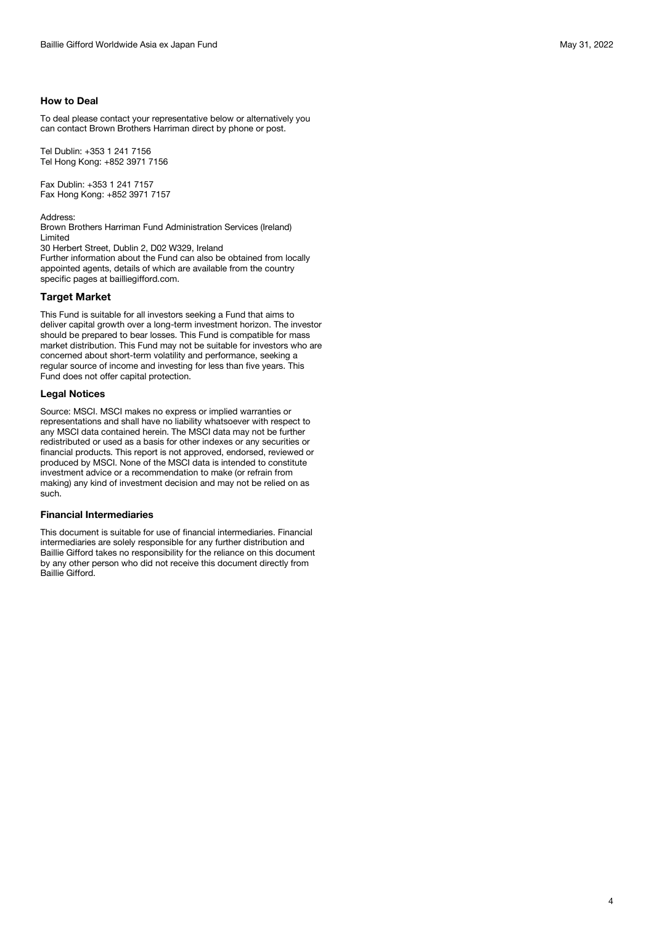To deal please contact your representative below or alternatively you can contact Brown Brothers Harriman direct by phone or post.

Tel Dublin: +353 1 241 7156 Tel Hong Kong: +852 3971 7156

Fax Dublin: +353 1 241 7157 Fax Hong Kong: +852 3971 7157

Address:

Brown Brothers Harriman Fund Administration Services (Ireland) Limited

30 Herbert Street, Dublin 2, D02 W329, Ireland Further information about the Fund can also be obtained from locally appointed agents, details of which are available from the country specific pages at bailliegifford.com.

### **Target Market**

This Fund is suitable for all investors seeking a Fund that aims to deliver capital growth over a long-term investment horizon. The investor should be prepared to bear losses. This Fund is compatible for mass market distribution. This Fund may not be suitable for investors who are concerned about short-term volatility and performance, seeking a regular source of income and investing for less than five years. This Fund does not offer capital protection.

### **Legal Notices**

Source: MSCI. MSCI makes no express or implied warranties or representations and shall have no liability whatsoever with respect to any MSCI data contained herein. The MSCI data may not be further redistributed or used as a basis for other indexes or any securities or financial products. This report is not approved, endorsed, reviewed or produced by MSCI. None of the MSCI data is intended to constitute investment advice or a recommendation to make (or refrain from making) any kind of investment decision and may not be relied on as such.

#### **Financial Intermediaries**

This document is suitable for use of financial intermediaries. Financial intermediaries are solely responsible for any further distribution and Baillie Gifford takes no responsibility for the reliance on this document by any other person who did not receive this document directly from Baillie Gifford.